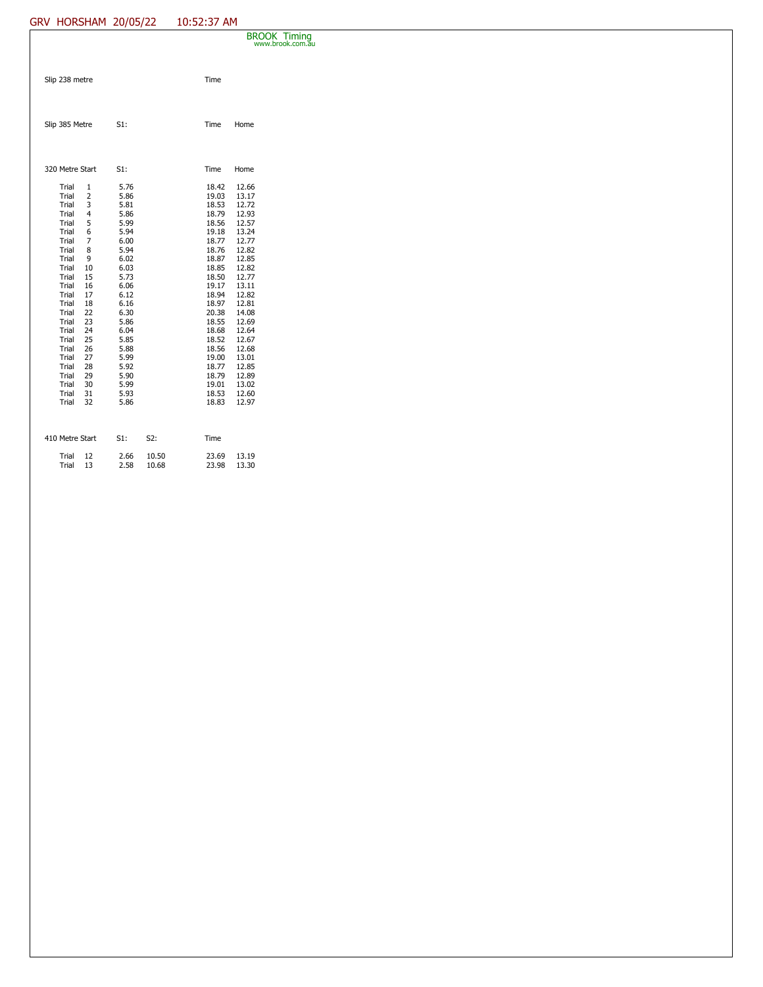## GRV HORSHAM 20/05/22 10:52:37 AM

|                 |                |              |                | BROOK Timing<br>www.brook.com.au |  |  |  |  |  |
|-----------------|----------------|--------------|----------------|----------------------------------|--|--|--|--|--|
|                 |                |              |                |                                  |  |  |  |  |  |
| Slip 238 metre  |                |              | Time           |                                  |  |  |  |  |  |
|                 |                |              |                |                                  |  |  |  |  |  |
|                 |                |              |                |                                  |  |  |  |  |  |
| Slip 385 Metre  |                | $S1$ :       | Time           | Home                             |  |  |  |  |  |
|                 |                |              |                |                                  |  |  |  |  |  |
|                 |                |              |                |                                  |  |  |  |  |  |
| 320 Metre Start |                | $S1$ :       | Time           | Home                             |  |  |  |  |  |
| Trial           | $\overline{1}$ | 5.76         | 18.42          | 12.66                            |  |  |  |  |  |
| Trial           | $\overline{2}$ | 5.86         | 19.03          | 13.17                            |  |  |  |  |  |
| Trial           | 3              | 5.81         | 18.53          | 12.72                            |  |  |  |  |  |
| Trial           | $\overline{4}$ | 5.86         | 18.79          | 12.93                            |  |  |  |  |  |
| Trial           | 5              | 5.99         | 18.56          | 12.57                            |  |  |  |  |  |
| Trial           | 6              | 5.94         | 19.18          | 13.24                            |  |  |  |  |  |
| Trial           | 7              | 6.00         | 18.77          | 12.77                            |  |  |  |  |  |
| Trial           | 8              | 5.94         | 18.76          | 12.82                            |  |  |  |  |  |
| Trial           | 9              | 6.02         | 18.87          | 12.85                            |  |  |  |  |  |
| Trial           | 10             | 6.03         | 18.85          | 12.82                            |  |  |  |  |  |
| Trial           | 15             | 5.73         | 18.50          | 12.77                            |  |  |  |  |  |
| Trial           | 16             | 6.06         | 19.17          | 13.11                            |  |  |  |  |  |
| Trial           | 17             | 6.12         | 18.94          | 12.82                            |  |  |  |  |  |
| Trial           | 18             | 6.16         | 18.97          | 12.81                            |  |  |  |  |  |
| Trial           | 22             | 6.30         | 20.38          | 14.08                            |  |  |  |  |  |
| Trial           | 23             | 5.86         | 18.55          | 12.69                            |  |  |  |  |  |
| Trial           | 24             | 6.04         | 18.68          | 12.64                            |  |  |  |  |  |
| Trial           | 25             | 5.85         | 18.52          | 12.67                            |  |  |  |  |  |
| Trial<br>Trial  | 26             | 5.88         | 18.56          | 12.68                            |  |  |  |  |  |
| Trial           | 27<br>28       | 5.99<br>5.92 | 19.00<br>18.77 | 13.01<br>12.85                   |  |  |  |  |  |
| Trial           | 29             | 5.90         | 18.79          | 12.89                            |  |  |  |  |  |
| Trial           | 30             | 5.99         | 19.01          | 13.02                            |  |  |  |  |  |
| Trial           | 31             | 5.93         | 18.53          | 12.60                            |  |  |  |  |  |
| Trial           | 32             | 5.86         | 18.83          | 12.97                            |  |  |  |  |  |
|                 |                |              |                |                                  |  |  |  |  |  |

| 410 Metre Start | S1:  | S <sub>2</sub> : | Time  |       |
|-----------------|------|------------------|-------|-------|
| Trial 12        | 2.66 | 10.50            | 23.69 | 13.19 |
| Trial 13        | 2.58 | 10.68            | 23.98 | 13.30 |
|                 |      |                  |       |       |